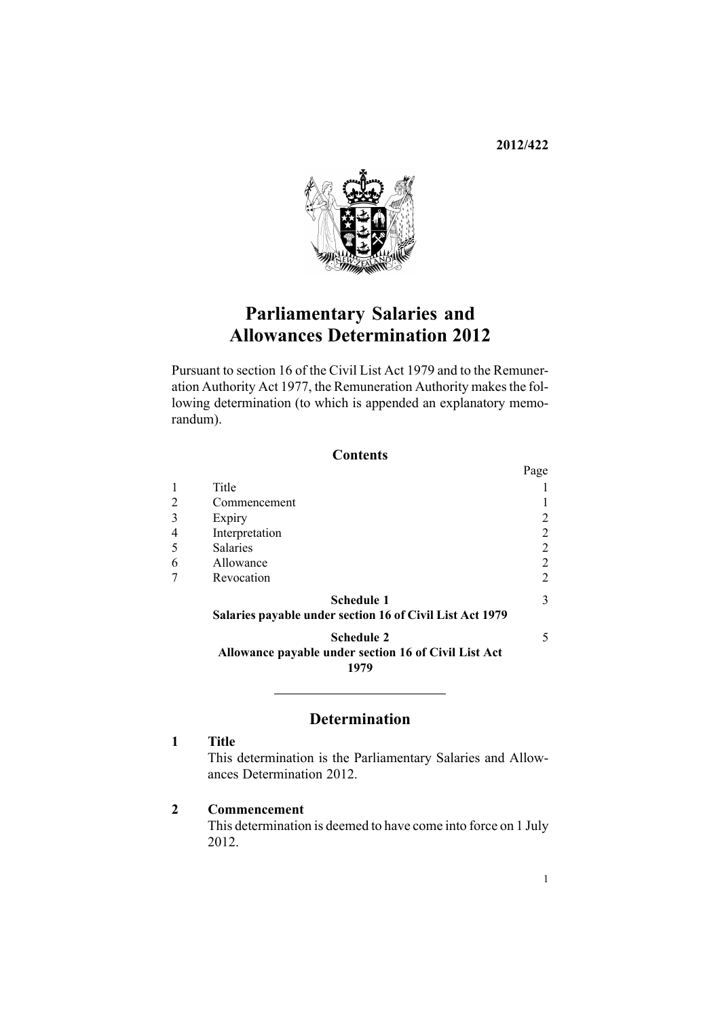**2012/422**



# **Parliamentary Salaries and Allowances Determination 2012**

Pursuant to [section](http://www.legislation.govt.nz/pdflink.aspx?id=DLM32410) 16 of the Civil List Act 1979 and to the [Remune](http://www.legislation.govt.nz/pdflink.aspx?id=DLM15636)r-ation [Authority](http://www.legislation.govt.nz/pdflink.aspx?id=DLM15636) Act 1977, the Remuneration Authority makes the following determination (to which is appended an exp[lanatory](#page-5-0) memo[randum](#page-5-0)).

### **Contents**

|                             |                                                                                   | Page |
|-----------------------------|-----------------------------------------------------------------------------------|------|
|                             | Title                                                                             |      |
| $\mathcal{D}_{\mathcal{L}}$ | Commencement                                                                      |      |
| 3                           | Expiry                                                                            | 2    |
|                             | Interpretation                                                                    | 2    |
|                             | <b>Salaries</b>                                                                   | 2    |
| 6                           | Allowance                                                                         | 2    |
|                             | Revocation                                                                        | 2    |
|                             | Schedule 1<br>Salaries payable under section 16 of Civil List Act 1979            | 3    |
|                             | <b>Schedule 2</b><br>Allowance payable under section 16 of Civil List Act<br>1979 | 5    |

## **Determination**

## **1 Title**

This determination is the Parliamentary Salaries and Allowances Determination 2012.

## **2 Commencement**

This determination is deemed to have come into force on 1 July 2012.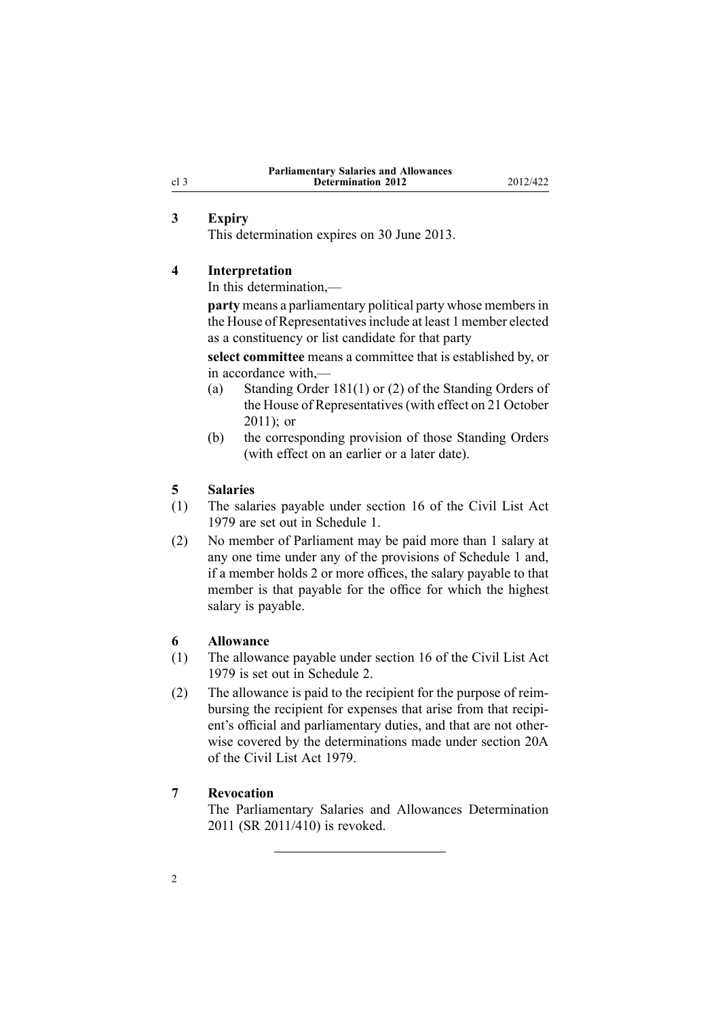## **3 Expiry**

This determination expires on 30 June 2013.

#### **4 Interpretation**

In this determination,—

**party** means <sup>a</sup> parliamentary political party whose membersin the House of Representatives include at least 1 member elected as <sup>a</sup> constituency or list candidate for that party

**select committee** means <sup>a</sup> committee that is established by, or in accordance with,—

- (a) Standing Order 181(1) or (2) of the Standing Orders of the House of Representatives(with effect on 21 October  $2011$ ); or
- (b) the corresponding provision of those Standing Orders (with effect on an earlier or <sup>a</sup> later date).

### **5 Salaries**

- (1) The salaries payable under [section](http://www.legislation.govt.nz/pdflink.aspx?id=DLM32410) 16 of the Civil List Act 1979 are set out in Schedule 1.
- (2) No member of Parliament may be paid more than 1 salary at any one time under any of the provisions of Schedule 1 and, if <sup>a</sup> member holds 2 or more offices, the salary payable to that member is that payable for the office for which the highest salary is payable.

### **6 Allowance**

- (1) The allowance payable under [section](http://www.legislation.govt.nz/pdflink.aspx?id=DLM32410) 16 of the Civil List Act 1979 is set out in [Schedule](#page-4-0) 2.
- (2) The allowance is paid to the recipient for the purpose of reimbursing the recipient for expenses that arise from that recipient's official and parliamentary duties, and that are not otherwise covered by the determinations made under [section](http://www.legislation.govt.nz/pdflink.aspx?id=DLM32424) 20A of the Civil List Act 1979.

## **7 Revocation**

The [Parliamentary](http://www.legislation.govt.nz/pdflink.aspx?id=DLM4148116) Salaries and Allowances Determination [2011](http://www.legislation.govt.nz/pdflink.aspx?id=DLM4148116) (SR 2011/410) is revoked.

<span id="page-1-0"></span>cl 3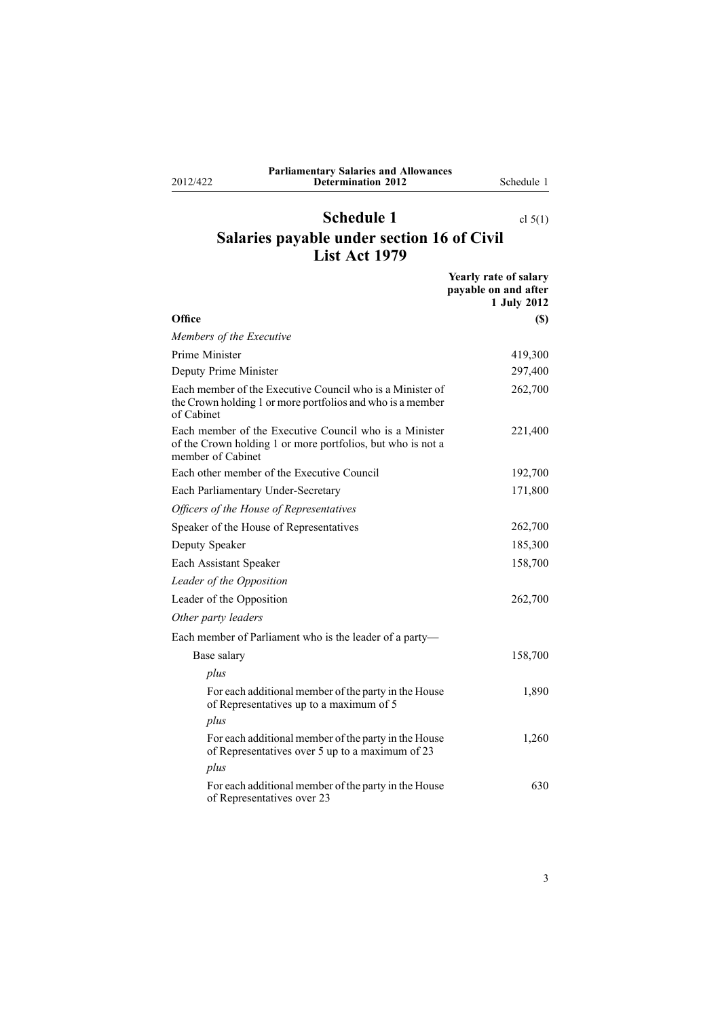<span id="page-2-0"></span>2012/422

## **Parliamentary Salaries and Allowances Determination 2012** Schedule 1

## **Schedule 1** cl [5\(1\)](#page-1-0) **Salaries payable under section 16 of Civil List Act 1979**

|                                                                                                                                            | Yearly rate of salary<br>payable on and after<br>1 July 2012 |
|--------------------------------------------------------------------------------------------------------------------------------------------|--------------------------------------------------------------|
| Office                                                                                                                                     | (S)                                                          |
| Members of the Executive                                                                                                                   |                                                              |
| Prime Minister                                                                                                                             | 419,300                                                      |
| Deputy Prime Minister                                                                                                                      | 297,400                                                      |
| Each member of the Executive Council who is a Minister of<br>the Crown holding 1 or more portfolios and who is a member<br>of Cabinet      | 262,700                                                      |
| Each member of the Executive Council who is a Minister<br>of the Crown holding 1 or more portfolios, but who is not a<br>member of Cabinet | 221,400                                                      |
| Each other member of the Executive Council                                                                                                 | 192,700                                                      |
| Each Parliamentary Under-Secretary                                                                                                         | 171,800                                                      |
| Officers of the House of Representatives                                                                                                   |                                                              |
| Speaker of the House of Representatives                                                                                                    | 262,700                                                      |
| Deputy Speaker                                                                                                                             | 185,300                                                      |
| Each Assistant Speaker                                                                                                                     | 158,700                                                      |
| Leader of the Opposition                                                                                                                   |                                                              |
| Leader of the Opposition                                                                                                                   | 262,700                                                      |
| Other party leaders                                                                                                                        |                                                              |
| Each member of Parliament who is the leader of a party-                                                                                    |                                                              |
| Base salary                                                                                                                                | 158,700                                                      |
| plus                                                                                                                                       |                                                              |
| For each additional member of the party in the House<br>of Representatives up to a maximum of 5                                            | 1,890                                                        |
| plus                                                                                                                                       |                                                              |
| For each additional member of the party in the House<br>of Representatives over 5 up to a maximum of 23                                    | 1,260                                                        |
| plus                                                                                                                                       |                                                              |
| For each additional member of the party in the House<br>of Representatives over 23                                                         | 630                                                          |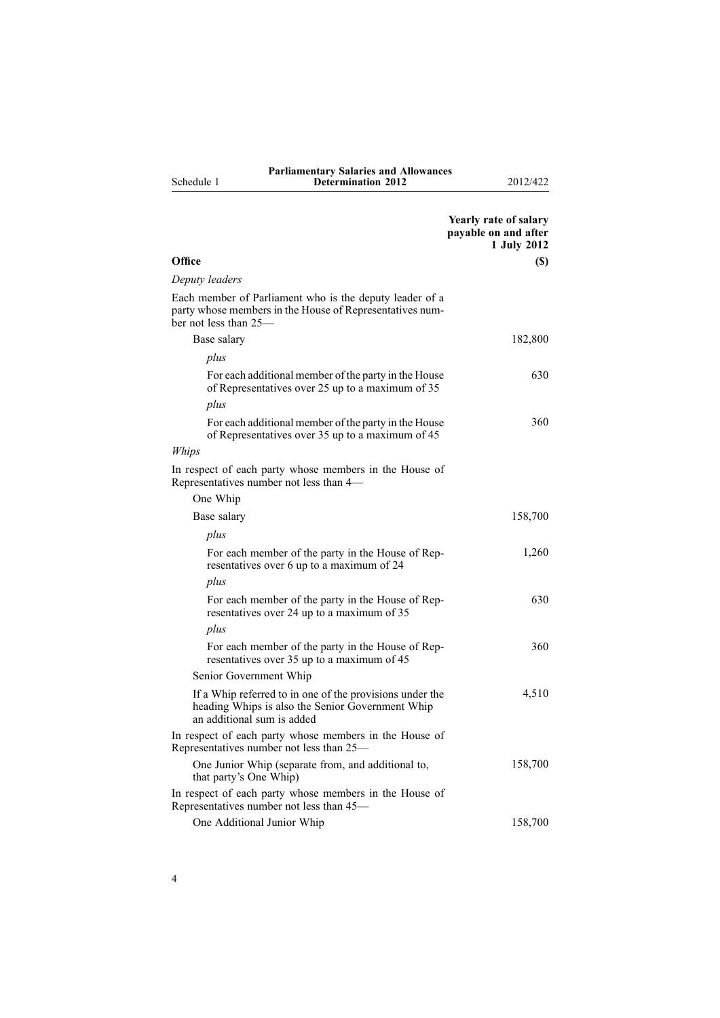|            | <b>Parliamentary Salaries and Allowances</b> |
|------------|----------------------------------------------|
| Schedule 1 | <b>Determination 2012</b>                    |

**Determination 2012** 2012/422

|                                                                                                                                              | Yearly rate of salary<br>payable on and after<br>1 July 2012 |
|----------------------------------------------------------------------------------------------------------------------------------------------|--------------------------------------------------------------|
| Office                                                                                                                                       | (S)                                                          |
| Deputy leaders                                                                                                                               |                                                              |
| Each member of Parliament who is the deputy leader of a<br>party whose members in the House of Representatives num-<br>ber not less than 25— |                                                              |
| Base salary                                                                                                                                  | 182,800                                                      |
| plus                                                                                                                                         |                                                              |
| For each additional member of the party in the House<br>of Representatives over 25 up to a maximum of 35                                     | 630                                                          |
| plus                                                                                                                                         |                                                              |
| For each additional member of the party in the House<br>of Representatives over 35 up to a maximum of 45                                     | 360                                                          |
| Whips                                                                                                                                        |                                                              |
| In respect of each party whose members in the House of<br>Representatives number not less than 4-                                            |                                                              |
| One Whip                                                                                                                                     |                                                              |
| Base salary                                                                                                                                  | 158,700                                                      |
| plus                                                                                                                                         |                                                              |
| For each member of the party in the House of Rep-<br>resentatives over 6 up to a maximum of 24                                               | 1,260                                                        |
| plus                                                                                                                                         |                                                              |
| For each member of the party in the House of Rep-<br>resentatives over 24 up to a maximum of 35                                              | 630                                                          |
| plus                                                                                                                                         |                                                              |
| For each member of the party in the House of Rep-<br>resentatives over 35 up to a maximum of 45                                              | 360                                                          |
| Senior Government Whip                                                                                                                       |                                                              |
| If a Whip referred to in one of the provisions under the<br>heading Whips is also the Senior Government Whip<br>an additional sum is added   | 4,510                                                        |
| In respect of each party whose members in the House of<br>Representatives number not less than 25—                                           |                                                              |
| One Junior Whip (separate from, and additional to,<br>that party's One Whip)                                                                 | 158,700                                                      |
| In respect of each party whose members in the House of<br>Representatives number not less than 45-                                           |                                                              |
| One Additional Junior Whip                                                                                                                   | 158,700                                                      |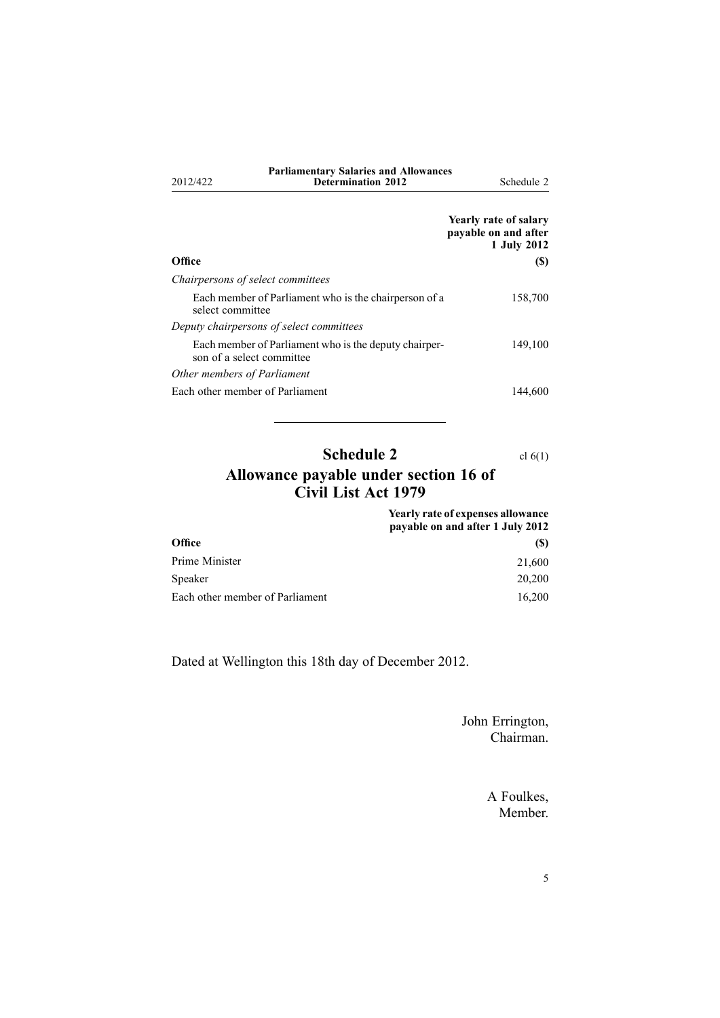<span id="page-4-0"></span>

| 2012/422                          | <b>Parliamentary Salaries and Allowances</b><br><b>Determination 2012</b>          | Schedule 2                                                   |
|-----------------------------------|------------------------------------------------------------------------------------|--------------------------------------------------------------|
|                                   |                                                                                    | Yearly rate of salary<br>payable on and after<br>1 July 2012 |
| Office                            |                                                                                    | <b>(S)</b>                                                   |
| Chairpersons of select committees |                                                                                    |                                                              |
| select committee                  | Each member of Parliament who is the chairperson of a                              | 158,700                                                      |
|                                   | Deputy chairpersons of select committees                                           |                                                              |
|                                   | Each member of Parliament who is the deputy chairper-<br>son of a select committee | 149,100                                                      |
| Other members of Parliament       |                                                                                    |                                                              |
| Each other member of Parliament   |                                                                                    | 144.600                                                      |

## **Schedule 2** cl [6\(1\)](#page-1-0) **Allowance payable under section 16 of Civil List Act 1979**

|                                 | <b>Yearly rate of expenses allowance</b><br>payable on and after 1 July 2012 |
|---------------------------------|------------------------------------------------------------------------------|
| <b>Office</b>                   | <b>(S)</b>                                                                   |
| Prime Minister                  | 21,600                                                                       |
| Speaker                         | 20,200                                                                       |
| Each other member of Parliament | 16.200                                                                       |

Dated at Wellington this 18th day of December 2012.

John Errington, Chairman.

> A Foulkes, Member.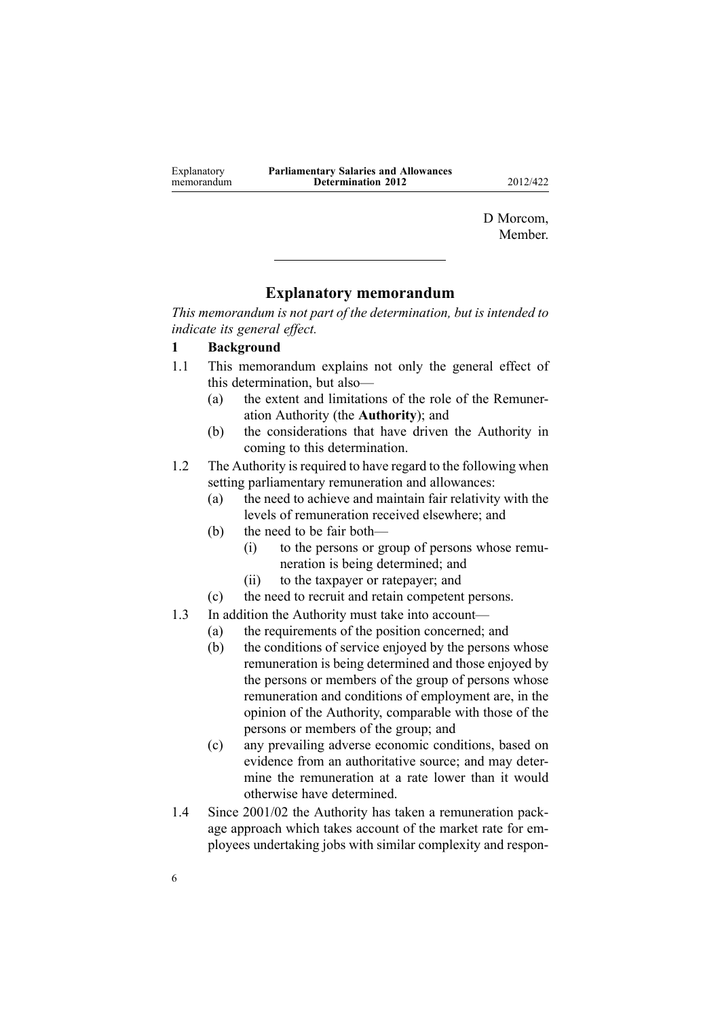<span id="page-5-0"></span>

| Explanatory | <b>Parliamentary Salaries and Allowances</b> |
|-------------|----------------------------------------------|
| memorandum  | <b>Determination 2012</b>                    |
|             |                                              |

**Determination 2012** 2012/422

D Morcom, **Member** 

## **Explanatory memorandum**

*This memorandum is not par<sup>t</sup> of the determination, but is intended to indicate its general effect.*

### **1 Background**

- 1.1 This memorandum explains not only the general effect of this determination, but also—
	- (a) the extent and limitations of the role of the Remuneration Authority (the **Authority**); and
	- (b) the considerations that have driven the Authority in coming to this determination.

1.2 The Authority is required to have regard to the following when setting parliamentary remuneration and allowances:

- (a) the need to achieve and maintain fair relativity with the levels of remuneration received elsewhere; and
- (b) the need to be fair both—
	- (i) to the persons or group of persons whose remuneration is being determined; and
	- (ii) to the taxpayer or ratepayer; and
- (c) the need to recruit and retain competent persons.
- 1.3 In addition the Authority must take into account—
	- (a) the requirements of the position concerned; and
	- (b) the conditions of service enjoyed by the persons whose remuneration is being determined and those enjoyed by the persons or members of the group of persons whose remuneration and conditions of employment are, in the opinion of the Authority, comparable with those of the persons or members of the group; and
	- (c) any prevailing adverse economic conditions, based on evidence from an authoritative source; and may determine the remuneration at <sup>a</sup> rate lower than it would otherwise have determined.
- 1.4 Since 2001/02 the Authority has taken <sup>a</sup> remuneration package approach which takes account of the market rate for employees undertaking jobs with similar complexity and respon-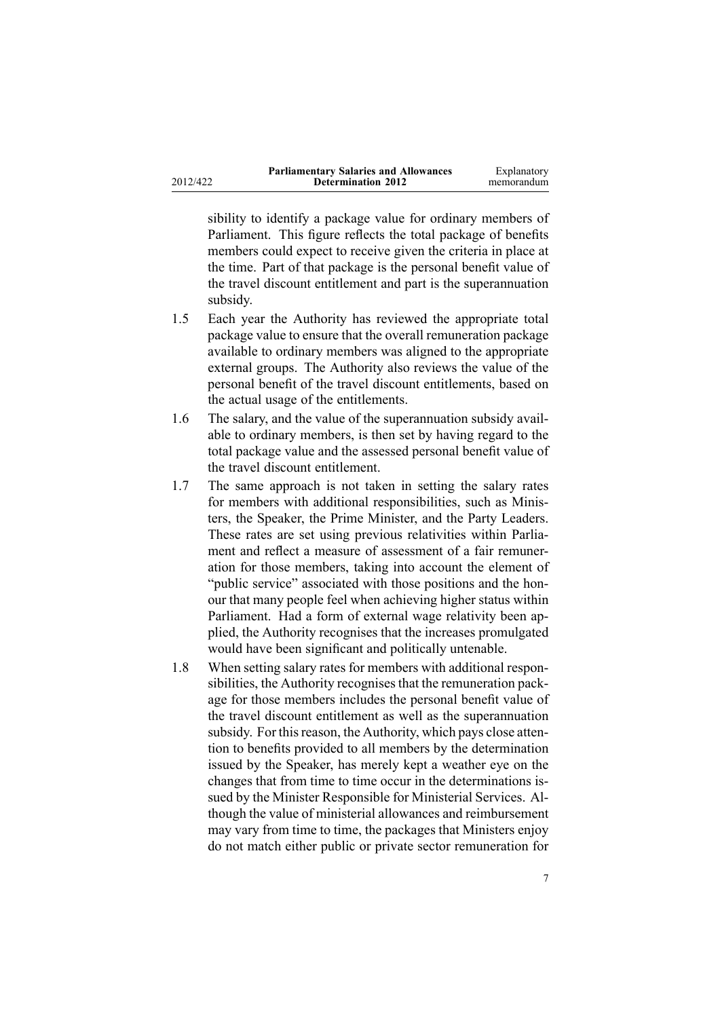| 2012/422 |  |
|----------|--|
|          |  |

subsidy.

the travel discount entitlement and par<sup>t</sup> is the superannuation

sibility to identify <sup>a</sup> package value for ordinary members of Parliament. This figure reflects the total package of benefits members could expec<sup>t</sup> to receive given the criteria in place at the time. Part of that package is the personal benefit value of

- 1.5 Each year the Authority has reviewed the appropriate total package value to ensure that the overall remuneration package available to ordinary members was aligned to the appropriate external groups. The Authority also reviews the value of the personal benefit of the travel discount entitlements, based on the actual usage of the entitlements.
- 1.6 The salary, and the value of the superannuation subsidy available to ordinary members, is then set by having regard to the total package value and the assessed personal benefit value of the travel discount entitlement.
- 1.7 The same approach is not taken in setting the salary rates for members with additional responsibilities, such as Ministers, the Speaker, the Prime Minister, and the Party Leaders. These rates are set using previous relativities within Parliament and reflect <sup>a</sup> measure of assessment of <sup>a</sup> fair remuneration for those members, taking into account the element of "public service" associated with those positions and the honour that many people feel when achieving higher status within Parliament. Had <sup>a</sup> form of external wage relativity been applied, the Authority recognises that the increases promulgated would have been significant and politically untenable.
- 1.8 When setting salary rates for members with additional responsibilities, the Authority recognises that the remuneration package for those members includes the personal benefit value of the travel discount entitlement as well as the superannuation subsidy. For this reason, the Authority, which pays close attention to benefits provided to all members by the determination issued by the Speaker, has merely kept <sup>a</sup> weather eye on the changes that from time to time occur in the determinations issued by the Minister Responsible for Ministerial Services. Although the value of ministerial allowances and reimbursement may vary from time to time, the packages that Ministers enjoy do not match either public or private sector remuneration for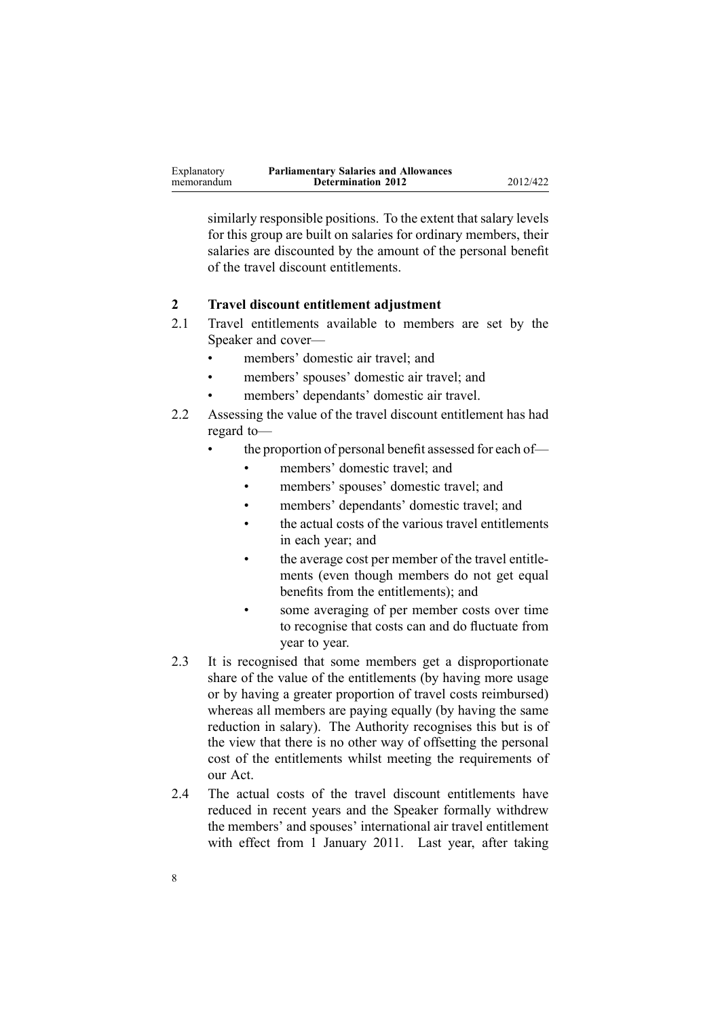| Explanatory | <b>Parliamentary Salaries and Allowances</b> |          |
|-------------|----------------------------------------------|----------|
| memorandum  | <b>Determination 2012</b>                    | 2012/422 |

similarly responsible positions. To the extent that salary levels for this group are built on salaries for ordinary members, their salaries are discounted by the amount of the personal benefit of the travel discount entitlements.

### **2 Travel discount entitlement adjustment**

- 2.1 Travel entitlements available to members are set by the Speaker and cover—
	- •members' domestic air travel; and
	- •members' spouses' domestic air travel; and
	- •members' dependants' domestic air travel.
- 2.2 Assessing the value of the travel discount entitlement has had regard to—
	- • the proportion of personal benefit assessed for each of—
		- •members' domestic travel; and
		- •members' spouses' domestic travel; and
		- •members' dependants' domestic travel; and
		- • the actual costs of the various travel entitlements in each year; and
		- • the average cost per member of the travel entitlements (even though members do not ge<sup>t</sup> equal benefits from the entitlements); and
		- • some averaging of per member costs over time to recognise that costs can and do fluctuate from year to year.
- 2.3 It is recognised that some members ge<sup>t</sup> <sup>a</sup> disproportionate share of the value of the entitlements (by having more usage or by having <sup>a</sup> greater proportion of travel costs reimbursed) whereas all members are paying equally (by having the same reduction in salary). The Authority recognises this but is of the view that there is no other way of offsetting the personal cost of the entitlements whilst meeting the requirements of our Act.
- 2.4 The actual costs of the travel discount entitlements have reduced in recent years and the Speaker formally withdrew the members' and spouses' international air travel entitlement with effect from 1 January 2011. Last year, after taking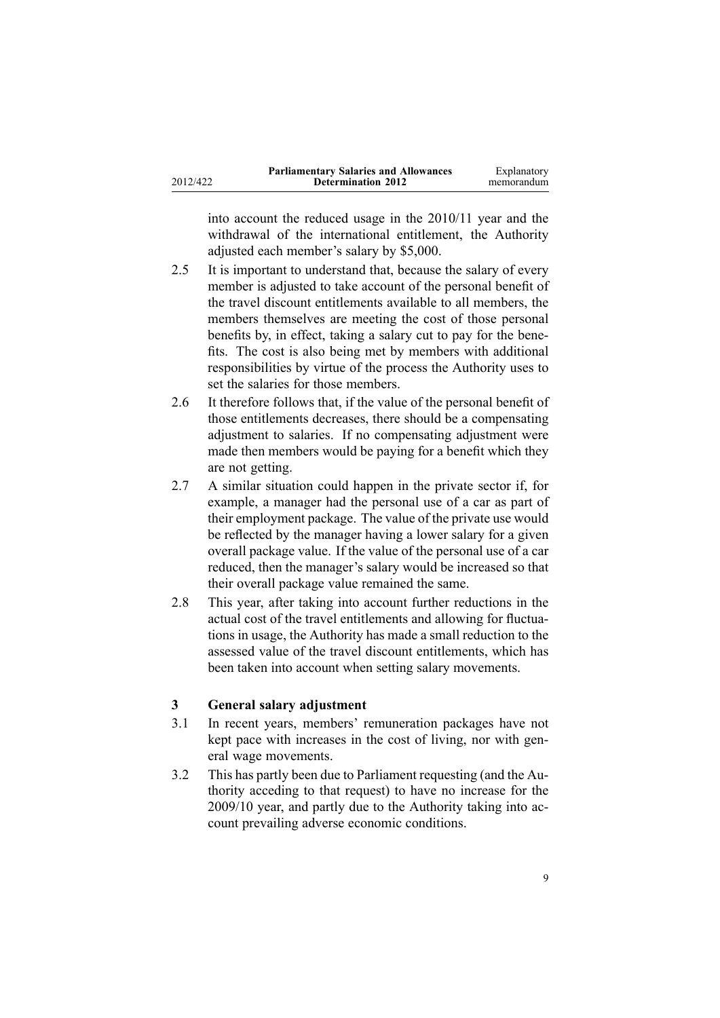|          | <b>Parliamentary Salaries and Allowances</b> | Explanatory |
|----------|----------------------------------------------|-------------|
| 2012/422 | <b>Determination 2012</b>                    | memorandum  |

into account the reduced usage in the 2010/11 year and the withdrawal of the international entitlement, the Authority adjusted each member's salary by \$5,000.

- 2.5 It is important to understand that, because the salary of every member is adjusted to take account of the personal benefit of the travel discount entitlements available to all members, the members themselves are meeting the cost of those personal benefits by, in effect, taking <sup>a</sup> salary cut to pay for the benefits. The cost is also being met by members with additional responsibilities by virtue of the process the Authority uses to set the salaries for those members.
- 2.6 It therefore follows that, if the value of the personal benefit of those entitlements decreases, there should be <sup>a</sup> compensating adjustment to salaries. If no compensating adjustment were made then members would be paying for <sup>a</sup> benefit which they are not getting.
- 2.7 A similar situation could happen in the private sector if, for example, <sup>a</sup> manager had the personal use of <sup>a</sup> car as par<sup>t</sup> of their employment package. The value of the private use would be reflected by the manager having <sup>a</sup> lower salary for <sup>a</sup> given overall package value. If the value of the personal use of <sup>a</sup> car reduced, then the manager's salary would be increased so that their overall package value remained the same.
- 2.8 This year, after taking into account further reductions in the actual cost of the travel entitlements and allowing for fluctuations in usage, the Authority has made <sup>a</sup> small reduction to the assessed value of the travel discount entitlements, which has been taken into account when setting salary movements.

### **3 General salary adjustment**

- 3.1 In recent years, members' remuneration packages have not kept pace with increases in the cost of living, nor with general wage movements.
- 3.2 This has partly been due to Parliament requesting (and the Authority acceding to that request) to have no increase for the 2009/10 year, and partly due to the Authority taking into account prevailing adverse economic conditions.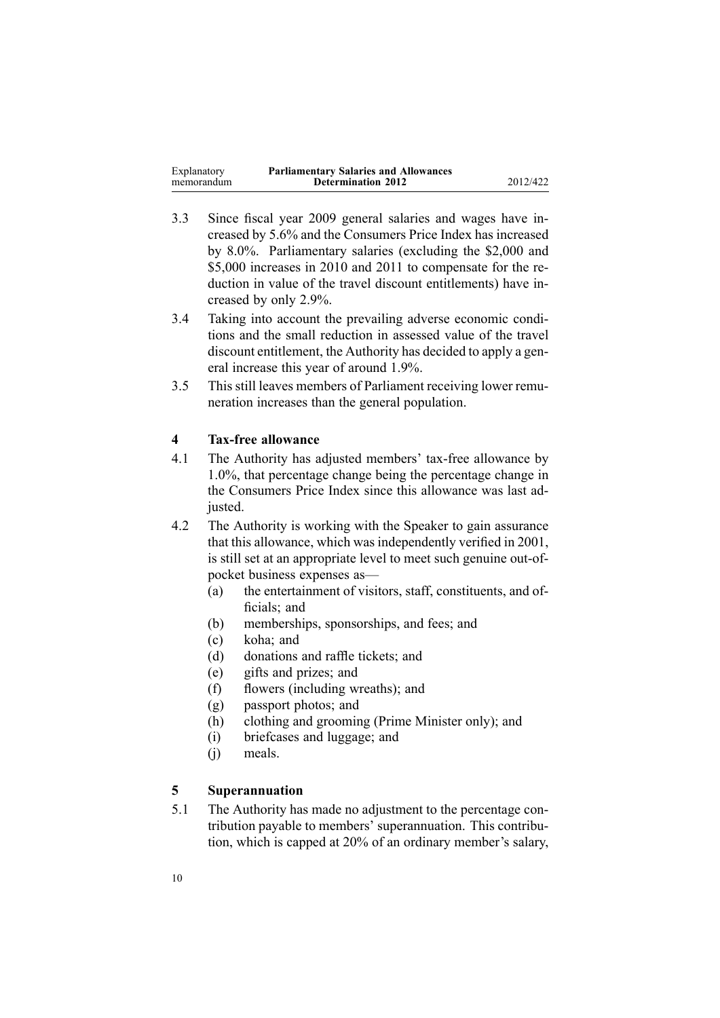| Explanatory | <b>Parliamentary Salaries and Allowances</b> |          |
|-------------|----------------------------------------------|----------|
| memorandum  | <b>Determination 2012</b>                    | 2012/422 |

- 3.3 Since fiscal year 2009 general salaries and wages have increased by 5.6% and the Consumers Price Index has increased by 8.0%. Parliamentary salaries (excluding the \$2,000 and \$5,000 increases in 2010 and 2011 to compensate for the reduction in value of the travel discount entitlements) have increased by only 2.9%.
- 3.4 Taking into account the prevailing adverse economic conditions and the small reduction in assessed value of the travel discount entitlement, the Authority has decided to apply <sup>a</sup> general increase this year of around 1.9%.
- 3.5 This still leaves members of Parliament receiving lower remuneration increases than the general population.

## **4 Tax-free allowance**

- 4.1 The Authority has adjusted members' tax-free allowance by 1.0%, that percentage change being the percentage change in the Consumers Price Index since this allowance was last adjusted.
- 4.2 The Authority is working with the Speaker to gain assurance that this allowance, which was independently verified in 2001, is still set at an appropriate level to meet such genuine out-ofpocket business expenses as—
	- (a) the entertainment of visitors, staff, constituents, and officials; and
	- (b) memberships, sponsorships, and fees; and
	- (c) koha; and
	- (d) donations and raffle tickets; and
	- (e) gifts and prizes; and
	- (f) flowers (including wreaths); and
	- (g) passpor<sup>t</sup> photos; and
	- (h) clothing and grooming (Prime Minister only); and
	- (i) briefcases and luggage; and
	- (j) meals.

### **5 Superannuation**

5.1 The Authority has made no adjustment to the percentage contribution payable to members' superannuation. This contribution, which is capped at 20% of an ordinary member's salary,